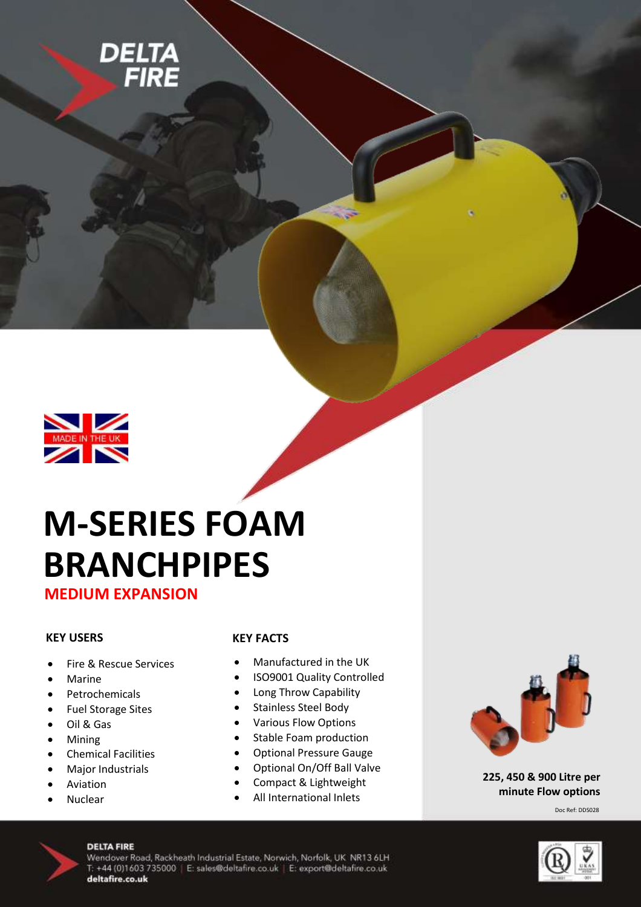



# **M-SERIES FOAM BRANCHPIPES**

**MEDIUM EXPANSION**

#### **KEY USERS**

- Fire & Rescue Services
- Marine
- Petrochemicals
- Fuel Storage Sites
- Oil & Gas
- Mining
- Chemical Facilities
- Major Industrials
- Aviation
- Nuclear

#### **KEY FACTS**

Manufactured in the UK

 $\sim$ 

- ISO9001 Quality Controlled
- Long Throw Capability
- Stainless Steel Body
- Various Flow Options
- Stable Foam production
- Optional Pressure Gauge
- Optional On/Off Ball Valve
- Compact & Lightweight
- All International Inlets



**225, 450 & 900 Litre per minute Flow options**

Doc Ref: DDS028



#### **DELTA FIRE**

Wendover Road, Rackheath Industrial Estate, Norwich, Norfolk, UK NR13 6LH T: +44 (0)1603 735000 | E: sales@deltafire.co.uk | E: export@deltafire.co.uk deltafire.co.uk

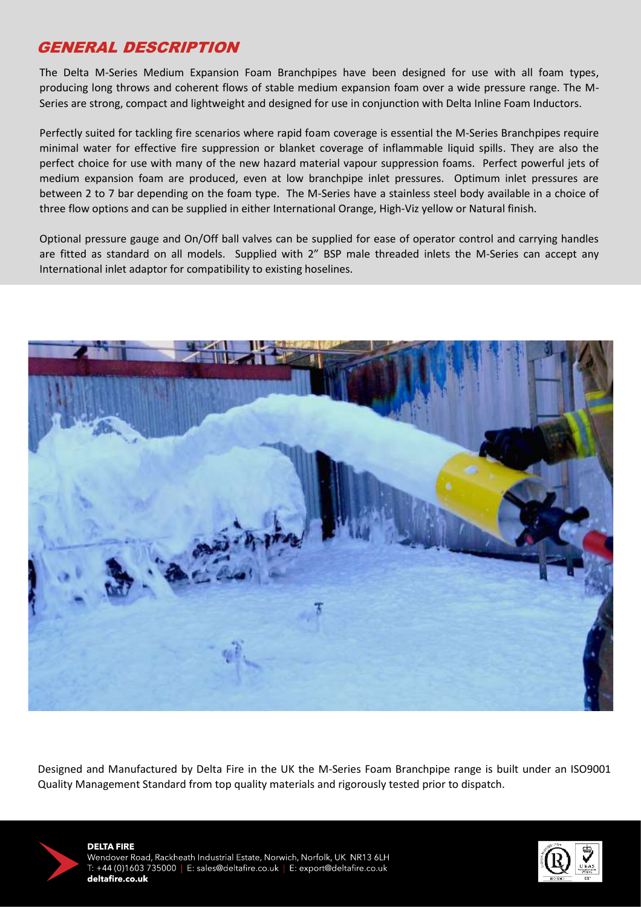## GENERAL DESCRIPTION

The Delta M-Series Medium Expansion Foam Branchpipes have been designed for use with all foam types, producing long throws and coherent flows of stable medium expansion foam over a wide pressure range. The M-Series are strong, compact and lightweight and designed for use in conjunction with Delta Inline Foam Inductors.

Perfectly suited for tackling fire scenarios where rapid foam coverage is essential the M-Series Branchpipes require minimal water for effective fire suppression or blanket coverage of inflammable liquid spills. They are also the perfect choice for use with many of the new hazard material vapour suppression foams. Perfect powerful jets of medium expansion foam are produced, even at low branchpipe inlet pressures. Optimum inlet pressures are between 2 to 7 bar depending on the foam type. The M-Series have a stainless steel body available in a choice of three flow options and can be supplied in either International Orange, High-Viz yellow or Natural finish.

Optional pressure gauge and On/Off ball valves can be supplied for ease of operator control and carrying handles are fitted as standard on all models. Supplied with 2" BSP male threaded inlets the M-Series can accept any International inlet adaptor for compatibility to existing hoselines.



Designed and Manufactured by Delta Fire in the UK the M-Series Foam Branchpipe range is built under an ISO9001 Quality Management Standard from top quality materials and rigorously tested prior to dispatch.



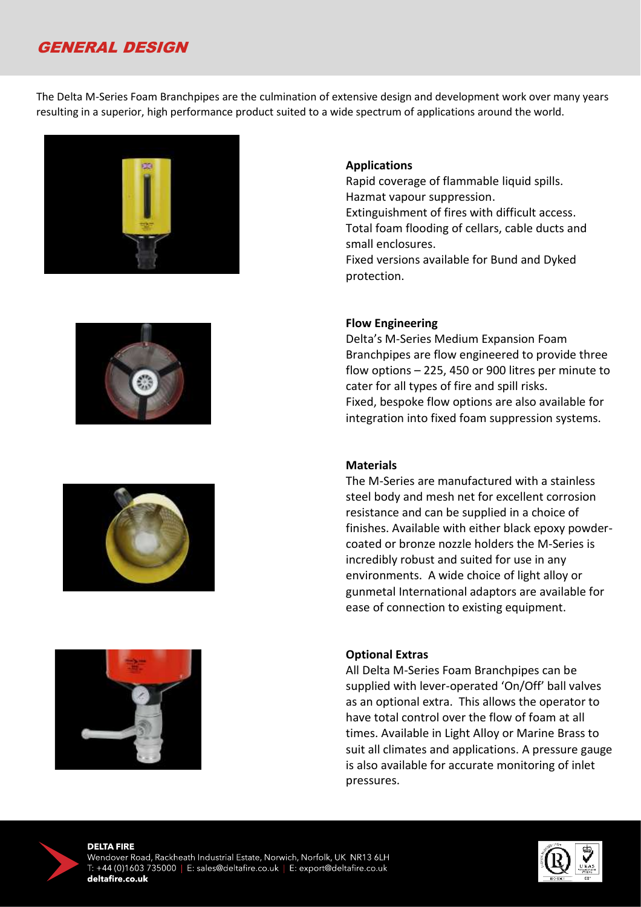## GENERAL DESIGN

The Delta M-Series Foam Branchpipes are the culmination of extensive design and development work over many years resulting in a superior, high performance product suited to a wide spectrum of applications around the world.









#### **Applications**

Rapid coverage of flammable liquid spills. Hazmat vapour suppression. Extinguishment of fires with difficult access. Total foam flooding of cellars, cable ducts and small enclosures. Fixed versions available for Bund and Dyked protection.

#### **Flow Engineering**

Delta's M-Series Medium Expansion Foam Branchpipes are flow engineered to provide three flow options – 225, 450 or 900 litres per minute to cater for all types of fire and spill risks. Fixed, bespoke flow options are also available for integration into fixed foam suppression systems.

#### **Materials**

The M-Series are manufactured with a stainless steel body and mesh net for excellent corrosion resistance and can be supplied in a choice of finishes. Available with either black epoxy powdercoated or bronze nozzle holders the M-Series is incredibly robust and suited for use in any environments. A wide choice of light alloy or gunmetal International adaptors are available for ease of connection to existing equipment.

#### **Optional Extras**

All Delta M-Series Foam Branchpipes can be supplied with lever-operated 'On/Off' ball valves as an optional extra. This allows the operator to have total control over the flow of foam at all times. Available in Light Alloy or Marine Brass to suit all climates and applications. A pressure gauge is also available for accurate monitoring of inlet pressures.